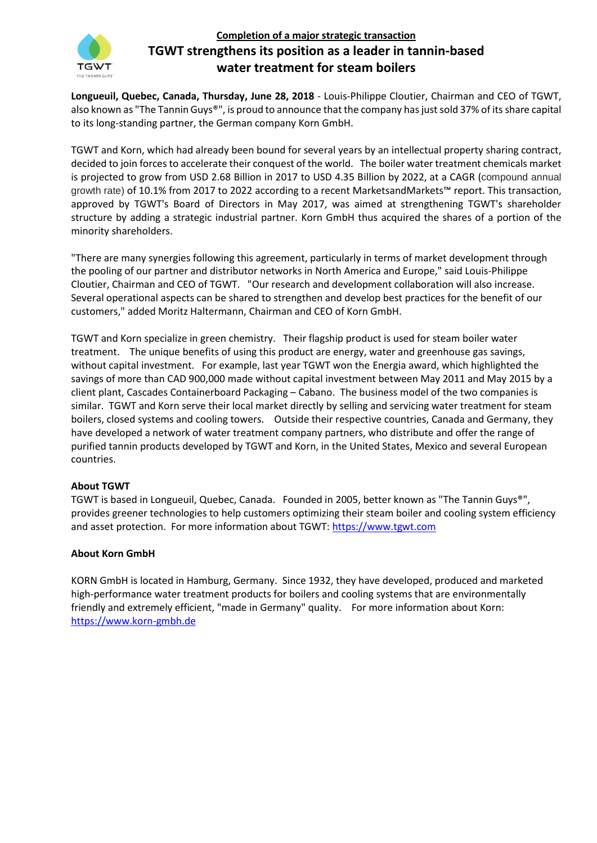

## **Completion of a major strategic transaction TGWT strengthens its position as a leader in tannin-based water treatment for steam boilers**

**Longueuil, Quebec, Canada, Thursday, June 28, 2018** - Louis-Philippe Cloutier, Chairman and CEO of TGWT, also known as "The Tannin Guys®", is proud to announce that the company has just sold 37% of its share capital to its long-standing partner, the German company Korn GmbH.

TGWT and Korn, which had already been bound for several years by an intellectual property sharing contract, decided to join forces to accelerate their conquest of the world. The boiler water treatment chemicals market is projected to grow from USD 2.68 Billion in 2017 to USD 4.35 Billion by 2022, at a CAGR (compound annual growth rate) of 10.1% from 2017 to 2022 according to a recent MarketsandMarkets™ report. This transaction, approved by TGWT's Board of Directors in May 2017, was aimed at strengthening TGWT's shareholder structure by adding a strategic industrial partner. Korn GmbH thus acquired the shares of a portion of the minority shareholders.

"There are many synergies following this agreement, particularly in terms of market development through the pooling of our partner and distributor networks in North America and Europe," said Louis-Philippe Cloutier, Chairman and CEO of TGWT. "Our research and development collaboration will also increase. Several operational aspects can be shared to strengthen and develop best practices for the benefit of our customers," added Moritz Haltermann, Chairman and CEO of Korn GmbH.

TGWT and Korn specialize in green chemistry. Their flagship product is used for steam boiler water treatment. The unique benefits of using this product are energy, water and greenhouse gas savings, without capital investment. For example, last year TGWT won the Energia award, which highlighted the savings of more than CAD 900,000 made without capital investment between May 2011 and May 2015 by a client plant, Cascades Containerboard Packaging – Cabano. The business model of the two companies is similar. TGWT and Korn serve their local market directly by selling and servicing water treatment for steam boilers, closed systems and cooling towers. Outside their respective countries, Canada and Germany, they have developed a network of water treatment company partners, who distribute and offer the range of purified tannin products developed by TGWT and Korn, in the United States, Mexico and several European countries.

## **About TGWT**

TGWT is based in Longueuil, Quebec, Canada. Founded in 2005, better known as "The Tannin Guys®", provides greener technologies to help customers optimizing their steam boiler and cooling system efficiency and asset protection. For more information about TGWT: [https://www.tgwt.com](https://www.tgwt.com/)

## **About Korn GmbH**

KORN GmbH is located in Hamburg, Germany. Since 1932, they have developed, produced and marketed high-performance water treatment products for boilers and cooling systems that are environmentally friendly and extremely efficient, "made in Germany" quality. For more information about Korn: [https://www.korn-gmbh.de](https://www.korn-gmbh.de/)